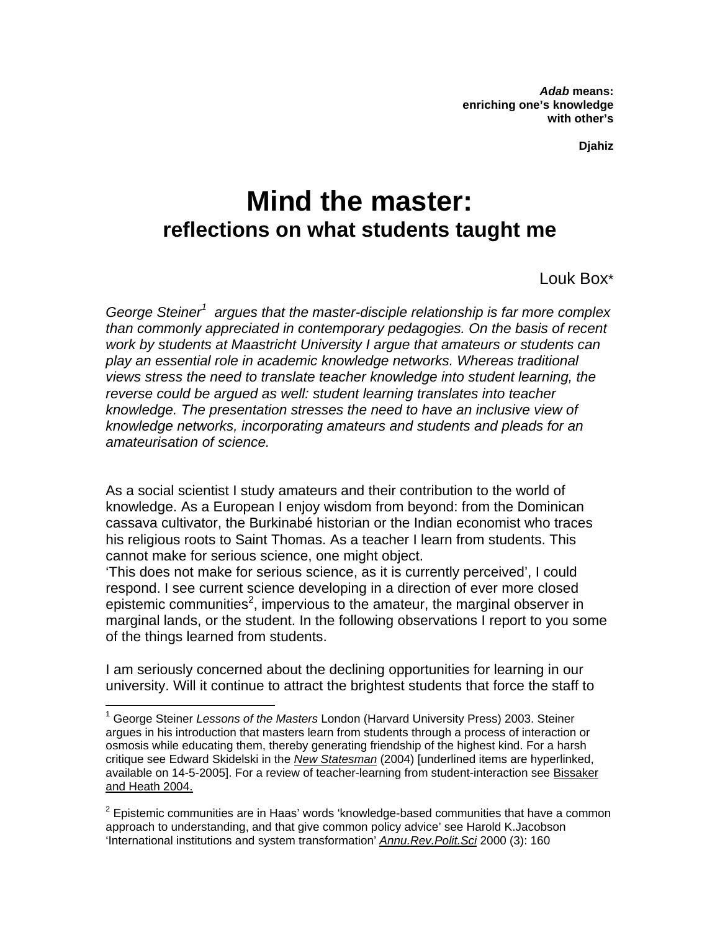*Adab* **means: enriching one's knowledge with other's** 

**Djahiz** 

# **Mind the master: reflections on what students taught me**

Louk Box\*

*George Steiner[1](#page-0-0) argues that the master-disciple relationship is far more complex than commonly appreciated in contemporary pedagogies. On the basis of recent work by students at Maastricht University I argue that amateurs or students can play an essential role in academic knowledge networks. Whereas traditional views stress the need to translate teacher knowledge into student learning, the reverse could be argued as well: student learning translates into teacher knowledge. The presentation stresses the need to have an inclusive view of knowledge networks, incorporating amateurs and students and pleads for an amateurisation of science.* 

As a social scientist I study amateurs and their contribution to the world of knowledge. As a European I enjoy wisdom from beyond: from the Dominican cassava cultivator, the Burkinabé historian or the Indian economist who traces his religious roots to Saint Thomas. As a teacher I learn from students. This cannot make for serious science, one might object.

'This does not make for serious science, as it is currently perceived', I could respond. I see current science developing in a direction of ever more closed epistemic communities<sup>[2](#page-0-1)</sup>, impervious to the amateur, the marginal observer in marginal lands, or the student. In the following observations I report to you some of the things learned from students.

I am seriously concerned about the declining opportunities for learning in our university. Will it continue to attract the brightest students that force the staff to

1

<span id="page-0-0"></span><sup>1</sup> George Steiner *Lessons of the Masters* London (Harvard University Press) 2003. Steiner argues in his introduction that masters learn from students through a process of interaction or osmosis while educating them, thereby generating friendship of the highest kind. For a harsh critique see Edward Skidelski in the *[New Statesman](http://www.newstatesman.com/Bookshop/300000077930)* (2004) [underlined items are hyperlinked, available on 14-5-2005]. For a review of teacher-learning from student-interaction see [Bissaker](http://cms.curriculum.edu.au/mindmatters/staff/professional/learninginaction.htm)  [and Heath 2004.](http://cms.curriculum.edu.au/mindmatters/staff/professional/learninginaction.htm)

<span id="page-0-1"></span> $2$  Epistemic communities are in Haas' words 'knowledge-based communities that have a common approach to understanding, and that give common policy advice' see Harold K.Jacobson 'International institutions and system transformation' *[Annu.Rev.Polit.Sci](http://plato.acadiau.ca/COURSES/POLS/Grieve/4383/reading/jacobson_institutions.pdf)* 2000 (3): 160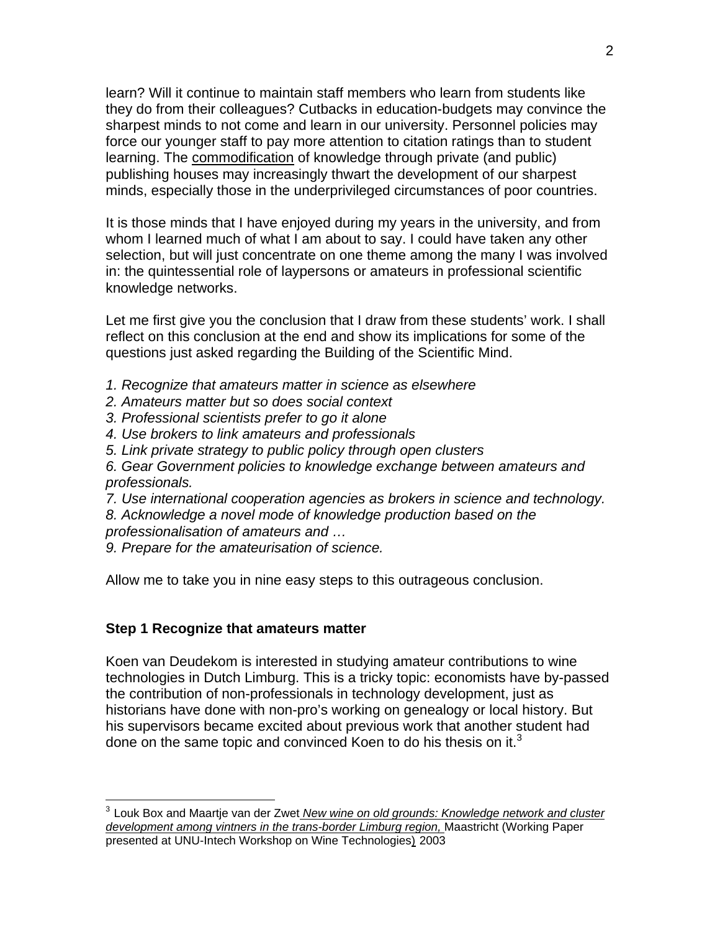learn? Will it continue to maintain staff members who learn from students like they do from their colleagues? Cutbacks in education-budgets may convince the sharpest minds to not come and learn in our university. Personnel policies may force our younger staff to pay more attention to citation ratings than to student learning. The [commodification](http://www.marxists.org/glossary/terms/c/o.htm) of knowledge through private (and public) publishing houses may increasingly thwart the development of our sharpest minds, especially those in the underprivileged circumstances of poor countries.

It is those minds that I have enjoyed during my years in the university, and from whom I learned much of what I am about to say. I could have taken any other selection, but will just concentrate on one theme among the many I was involved in: the quintessential role of laypersons or amateurs in professional scientific knowledge networks.

Let me first give you the conclusion that I draw from these students' work. I shall reflect on this conclusion at the end and show its implications for some of the questions just asked regarding the Building of the Scientific Mind.

- *1. Recognize that amateurs matter in science as elsewhere*
- *2. Amateurs matter but so does social context*
- *3. Professional scientists prefer to go it alone*
- *4. Use brokers to link amateurs and professionals*
- *5. Link private strategy to public policy through open clusters*

*6. Gear Government policies to knowledge exchange between amateurs and professionals.* 

- *7. Use international cooperation agencies as brokers in science and technology.*
- *8. Acknowledge a novel mode of knowledge production based on the professionalisation of amateurs and …*
- *9. Prepare for the amateurisation of science.*

Allow me to take you in nine easy steps to this outrageous conclusion.

#### **Step 1 Recognize that amateurs matter**

 $\overline{a}$ 

Koen van Deudekom is interested in studying amateur contributions to wine technologies in Dutch Limburg. This is a tricky topic: economists have by-passed the contribution of non-professionals in technology development, just as historians have done with non-pro's working on genealogy or local history. But his supervisors became excited about previous work that another student had done on the same topic and convinced Koen to do his thesis on it. $3$ 

<span id="page-1-0"></span><sup>3</sup> Louk Box and Maartje van der Zwet *[New wine on old grounds: Knowledge network and cluster](http://www.fdcw.unimaas.nl/personal/WebSitesMWT/Box/literature/New%20wine%20on%20old%20grounds%5B1%5D.doc)  [development among vintners in the trans-border Limburg region,](http://www.fdcw.unimaas.nl/personal/WebSitesMWT/Box/literature/New%20wine%20on%20old%20grounds%5B1%5D.doc)* Maastricht (Working Paper [presented at UNU-Intech Workshop on Wine Technologies\)](http://www.fdcw.unimaas.nl/personal/WebSitesMWT/Box/literature/New%20wine%20on%20old%20grounds%5B1%5D.doc) 2003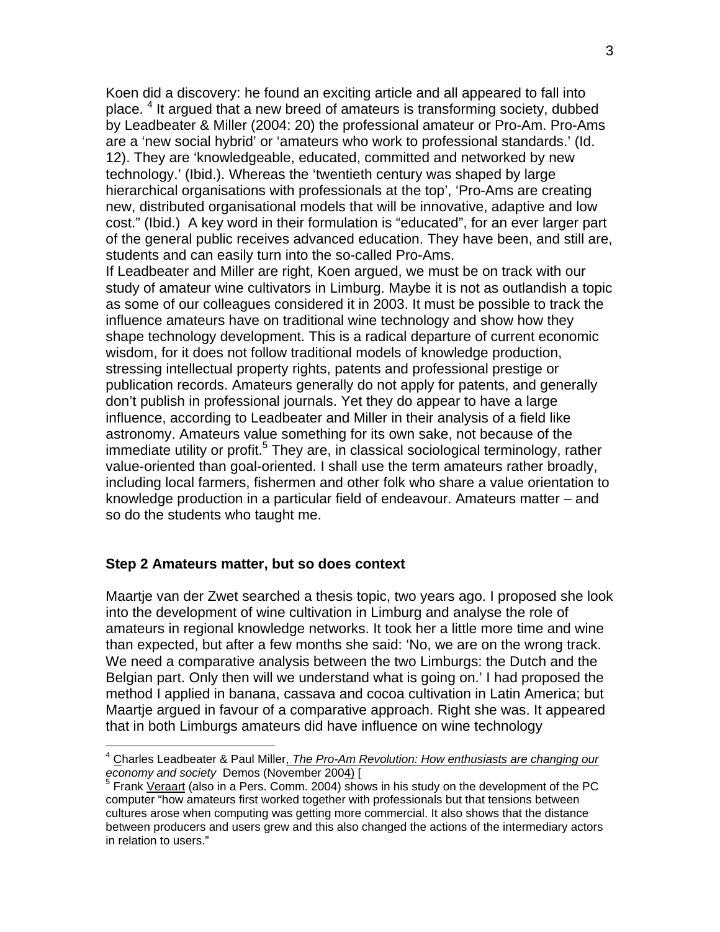Koen did a discovery: he found an exciting article and all appeared to fall into place. [4](#page-2-0) It argued that a new breed of amateurs is transforming society, dubbed by Leadbeater & Miller (2004: 20) the professional amateur or Pro-Am. Pro-Ams are a 'new social hybrid' or 'amateurs who work to professional standards.' (Id. 12). They are 'knowledgeable, educated, committed and networked by new technology.' (Ibid.). Whereas the 'twentieth century was shaped by large hierarchical organisations with professionals at the top', 'Pro-Ams are creating new, distributed organisational models that will be innovative, adaptive and low cost." (Ibid.) A key word in their formulation is "educated", for an ever larger part of the general public receives advanced education. They have been, and still are, students and can easily turn into the so-called Pro-Ams.

If Leadbeater and Miller are right, Koen argued, we must be on track with our study of amateur wine cultivators in Limburg. Maybe it is not as outlandish a topic as some of our colleagues considered it in 2003. It must be possible to track the influence amateurs have on traditional wine technology and show how they shape technology development. This is a radical departure of current economic wisdom, for it does not follow traditional models of knowledge production, stressing intellectual property rights, patents and professional prestige or publication records. Amateurs generally do not apply for patents, and generally don't publish in professional journals. Yet they do appear to have a large influence, according to Leadbeater and Miller in their analysis of a field like astronomy. Amateurs value something for its own sake, not because of the immediate utility or profit.<sup>[5](#page-2-1)</sup> They are, in classical sociological terminology, rather value-oriented than goal-oriented. I shall use the term amateurs rather broadly, including local farmers, fishermen and other folk who share a value orientation to knowledge production in a particular field of endeavour. Amateurs matter – and so do the students who taught me.

#### **Step 2 Amateurs matter, but so does context**

 $\overline{a}$ 

Maartje van der Zwet searched a thesis topic, two years ago. I proposed she look into the development of wine cultivation in Limburg and analyse the role of amateurs in regional knowledge networks. It took her a little more time and wine than expected, but after a few months she said: 'No, we are on the wrong track. We need a comparative analysis between the two Limburgs: the Dutch and the Belgian part. Only then will we understand what is going on.' I had proposed the method I applied in banana, cassava and cocoa cultivation in Latin America; but Maartje argued in favour of a comparative approach. Right she was. It appeared that in both Limburgs amateurs did have influence on wine technology

<span id="page-2-0"></span><sup>4</sup> Charles Leadbeater & Paul Miller, *[The Pro-Am Revolution: How enthusiasts are changing our](http://www.demos.co.uk/catalogue/proameconomy/)  economy and society* [Demos \(November 2004\)](http://www.demos.co.uk/catalogue/proameconomy/) [

<span id="page-2-1"></span> $5$  Frank [Veraart](http://sk.tbm.tudelft.nl/tbm/cms.tudelft.nl/staging/pagina.jsp-id%3D002def0a-17a8-4615-b780-0a69f281b63f%26lang%3Den.html) (also in a Pers. Comm. 2004) shows in his study on the development of the PC computer "how amateurs first worked together with professionals but that tensions between cultures arose when computing was getting more commercial. It also shows that the distance between producers and users grew and this also changed the actions of the intermediary actors in relation to users."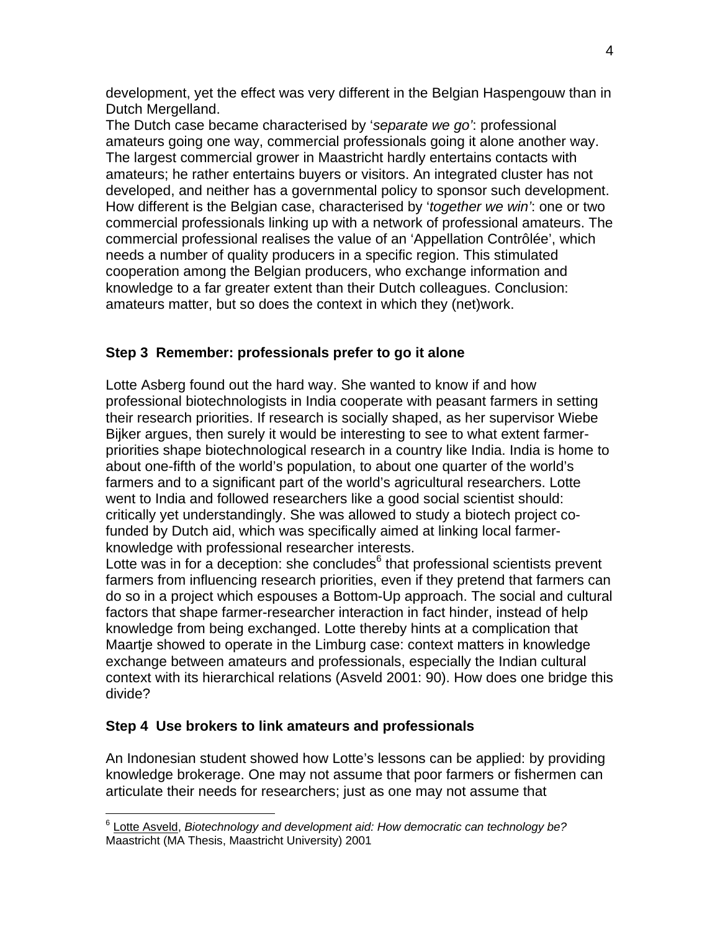development, yet the effect was very different in the Belgian Haspengouw than in Dutch Mergelland.

The Dutch case became characterised by '*separate we go'*: professional amateurs going one way, commercial professionals going it alone another way. The largest commercial grower in Maastricht hardly entertains contacts with amateurs; he rather entertains buyers or visitors. An integrated cluster has not developed, and neither has a governmental policy to sponsor such development. How different is the Belgian case, characterised by '*together we win'*: one or two commercial professionals linking up with a network of professional amateurs. The commercial professional realises the value of an 'Appellation Contrôlée', which needs a number of quality producers in a specific region. This stimulated cooperation among the Belgian producers, who exchange information and knowledge to a far greater extent than their Dutch colleagues. Conclusion: amateurs matter, but so does the context in which they (net)work.

## **Step 3 Remember: professionals prefer to go it alone**

Lotte Asberg found out the hard way. She wanted to know if and how professional biotechnologists in India cooperate with peasant farmers in setting their research priorities. If research is socially shaped, as her supervisor Wiebe Bijker argues, then surely it would be interesting to see to what extent farmerpriorities shape biotechnological research in a country like India. India is home to about one-fifth of the world's population, to about one quarter of the world's farmers and to a significant part of the world's agricultural researchers. Lotte went to India and followed researchers like a good social scientist should: critically yet understandingly. She was allowed to study a biotech project cofunded by Dutch aid, which was specifically aimed at linking local farmerknowledge with professional researcher interests.

Lotte was in for a deception: she concludes $6$  that professional scientists prevent farmers from influencing research priorities, even if they pretend that farmers can do so in a project which espouses a Bottom-Up approach. The social and cultural factors that shape farmer-researcher interaction in fact hinder, instead of help knowledge from being exchanged. Lotte thereby hints at a complication that Maartje showed to operate in the Limburg case: context matters in knowledge exchange between amateurs and professionals, especially the Indian cultural context with its hierarchical relations (Asveld 2001: 90). How does one bridge this divide?

## **Step 4 Use brokers to link amateurs and professionals**

 $\overline{a}$ 

An Indonesian student showed how Lotte's lessons can be applied: by providing knowledge brokerage. One may not assume that poor farmers or fishermen can articulate their needs for researchers; just as one may not assume that

<span id="page-3-0"></span><sup>6</sup> [Lotte Asveld](http://www.pl.net/5life/local.html), *Biotechnology and development aid: How democratic can technology be?*  Maastricht (MA Thesis, Maastricht University) 2001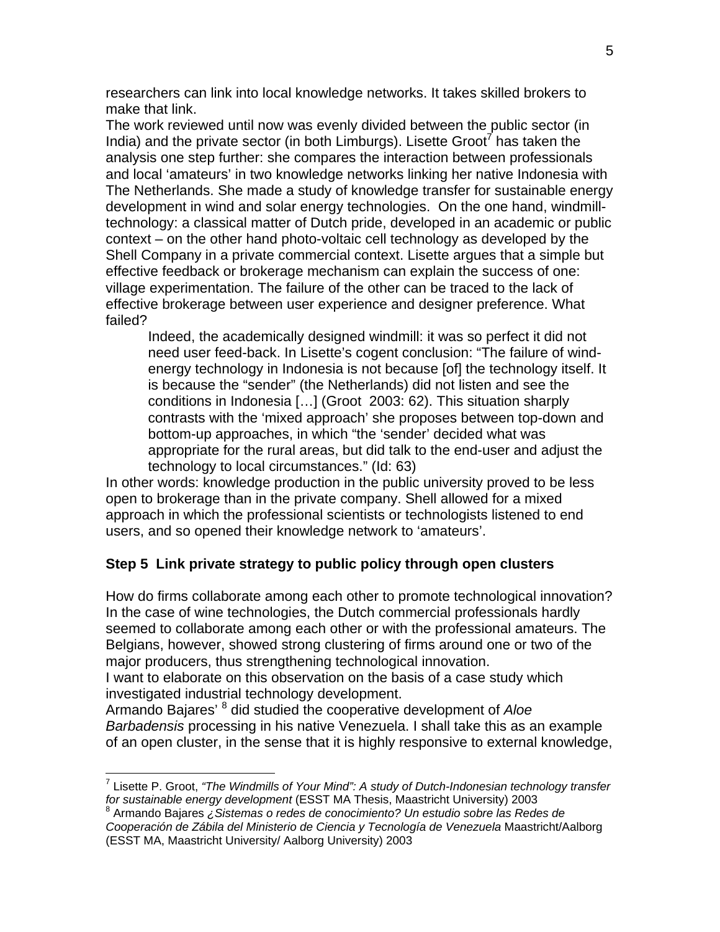researchers can link into local knowledge networks. It takes skilled brokers to make that link.

The work reviewed until now was evenly divided between the public sector (in India) and the private sector (in both Limburgs). Lisette Groot<sup>7</sup> has taken the analysis one step further: she compares the interaction between professionals and local 'amateurs' in two knowledge networks linking her native Indonesia with The Netherlands. She made a study of knowledge transfer for sustainable energy development in wind and solar energy technologies. On the one hand, windmilltechnology: a classical matter of Dutch pride, developed in an academic or public context – on the other hand photo-voltaic cell technology as developed by the Shell Company in a private commercial context. Lisette argues that a simple but effective feedback or brokerage mechanism can explain the success of one: village experimentation. The failure of the other can be traced to the lack of effective brokerage between user experience and designer preference. What failed?

Indeed, the academically designed windmill: it was so perfect it did not need user feed-back. In Lisette's cogent conclusion: "The failure of windenergy technology in Indonesia is not because [of] the technology itself. It is because the "sender" (the Netherlands) did not listen and see the conditions in Indonesia […] (Groot 2003: 62). This situation sharply contrasts with the 'mixed approach' she proposes between top-down and bottom-up approaches, in which "the 'sender' decided what was appropriate for the rural areas, but did talk to the end-user and adjust the technology to local circumstances." (Id: 63)

In other words: knowledge production in the public university proved to be less open to brokerage than in the private company. Shell allowed for a mixed approach in which the professional scientists or technologists listened to end users, and so opened their knowledge network to 'amateurs'.

#### **Step 5 Link private strategy to public policy through open clusters**

How do firms collaborate among each other to promote technological innovation? In the case of wine technologies, the Dutch commercial professionals hardly seemed to collaborate among each other or with the professional amateurs. The Belgians, however, showed strong clustering of firms around one or two of the major producers, thus strengthening technological innovation.

I want to elaborate on this observation on the basis of a case study which investigated industrial technology development.

Armando Bajares' [8](#page-4-1) did studied the cooperative development of *Aloe Barbadensis* processing in his native Venezuela. I shall take this as an example of an open cluster, in the sense that it is highly responsive to external knowledge,

<span id="page-4-0"></span> 7 Lisette P. Groot, *"The Windmills of Your Mind": A study of Dutch-Indonesian technology transfer*  for sustainable energy development (ESST MA Thesis, Maastricht University) 2003

<span id="page-4-1"></span>Armando Bajares *¿Sistemas o redes de conocimiento? Un estudio sobre las Redes de Cooperación de Zábila del Ministerio de Ciencia y Tecnología de Venezuela* Maastricht/Aalborg (ESST MA, Maastricht University/ Aalborg University) 2003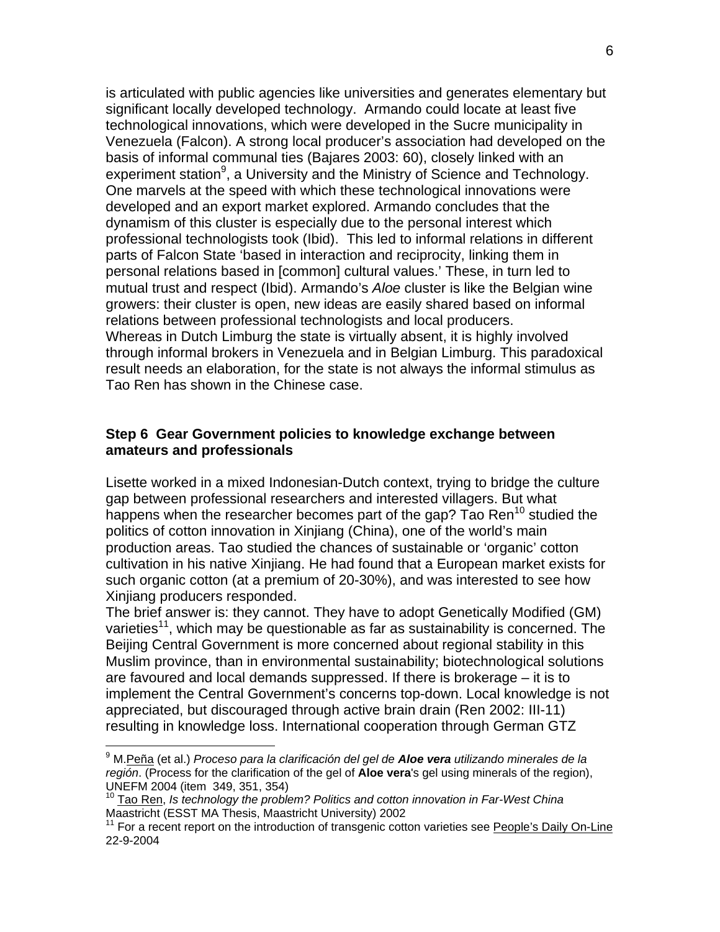is articulated with public agencies like universities and generates elementary but significant locally developed technology. Armando could locate at least five technological innovations, which were developed in the Sucre municipality in Venezuela (Falcon). A strong local producer's association had developed on the basis of informal communal ties (Bajares 2003: 60), closely linked with an experiment station<sup>9</sup>, a University and the Ministry of Science and Technology. One marvels at the speed with which these technological innovations were developed and an export market explored. Armando concludes that the dynamism of this cluster is especially due to the personal interest which professional technologists took (Ibid). This led to informal relations in different parts of Falcon State 'based in interaction and reciprocity, linking them in personal relations based in [common] cultural values.' These, in turn led to mutual trust and respect (Ibid). Armando's *Aloe* cluster is like the Belgian wine growers: their cluster is open, new ideas are easily shared based on informal relations between professional technologists and local producers. Whereas in Dutch Limburg the state is virtually absent, it is highly involved through informal brokers in Venezuela and in Belgian Limburg. This paradoxical result needs an elaboration, for the state is not always the informal stimulus as Tao Ren has shown in the Chinese case.

## **Step 6 Gear Government policies to knowledge exchange between amateurs and professionals**

Lisette worked in a mixed Indonesian-Dutch context, trying to bridge the culture gap between professional researchers and interested villagers. But what happens when the researcher becomes part of the gap? Tao Ren<sup>10</sup> studied the politics of cotton innovation in Xinjiang (China), one of the world's main production areas. Tao studied the chances of sustainable or 'organic' cotton cultivation in his native Xinjiang. He had found that a European market exists for such organic cotton (at a premium of 20-30%), and was interested to see how Xinjiang producers responded.

The brief answer is: they cannot. They have to adopt Genetically Modified (GM) varieties<sup>11</sup>, which may be questionable as far as sustainability is concerned. The Beijing Central Government is more concerned about regional stability in this Muslim province, than in environmental sustainability; biotechnological solutions are favoured and local demands suppressed. If there is brokerage – it is to implement the Central Government's concerns top-down. Local knowledge is not appreciated, but discouraged through active brain drain (Ren 2002: III-11) resulting in knowledge loss. International cooperation through German GTZ

<span id="page-5-0"></span><sup>9</sup> M.Peña (et al.) *[Proceso para la clarificación del gel de](http://investigacion.unefm.edu.ve/LibroJornadas2004/Inv.Des.Innov.Tec..htm) Aloe vera utilizando minerales de la región*[. \(Process for the clarification of the gel of](http://investigacion.unefm.edu.ve/LibroJornadas2004/Inv.Des.Innov.Tec..htm) **Aloe vera**'s gel using minerals of the region),

<span id="page-5-1"></span>[UNEFM](http://investigacion.unefm.edu.ve/LibroJornadas2004/Inv.Des.Innov.Tec..htm) 2004 (item 349, 351, 354)<br><sup>[10](http://investigacion.unefm.edu.ve/LibroJornadas2004/Inv.Des.Innov.Tec..htm)</sup> Tao Ren, *Is technology the problem? Politics and cotton innovation in Far-West China*<br>Maastricht (ESST MA Thesis, Maastricht University) 2002

<span id="page-5-2"></span> $11$  For a recent report on the introduction of transgenic cotton varieties see [People's Daily On-Line](http://www.eda.admin.ch/china_beishan/e/home/scitec.Par.0018.UpFile.pdf/rp_041015_monthnewsle_e.pdf) 22-9-2004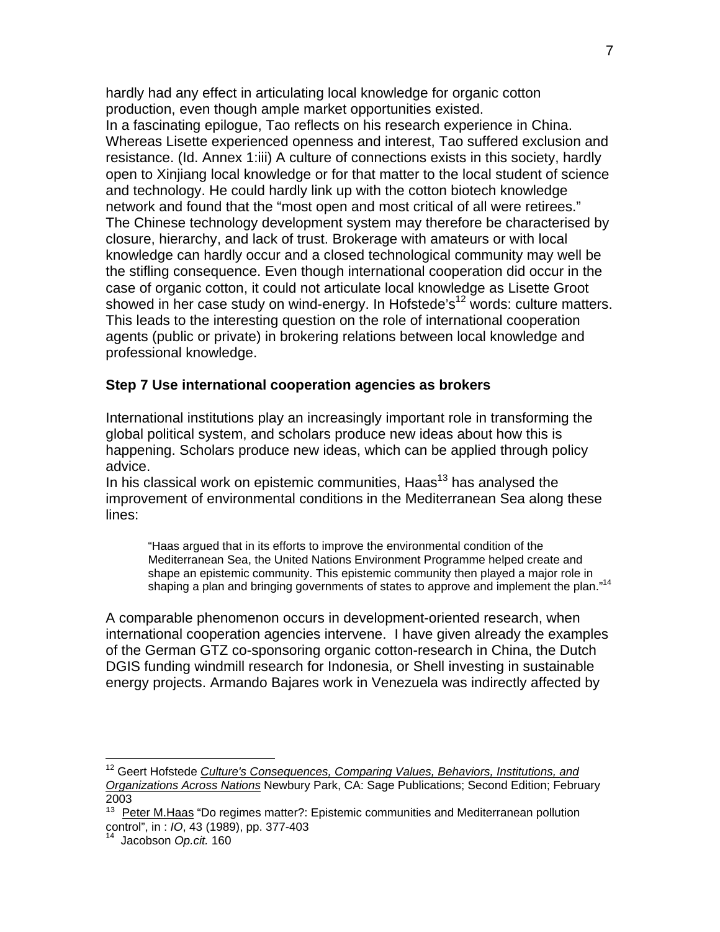hardly had any effect in articulating local knowledge for organic cotton production, even though ample market opportunities existed. In a fascinating epilogue, Tao reflects on his research experience in China. Whereas Lisette experienced openness and interest, Tao suffered exclusion and resistance. (Id. Annex 1:iii) A culture of connections exists in this society, hardly open to Xinjiang local knowledge or for that matter to the local student of science and technology. He could hardly link up with the cotton biotech knowledge network and found that the "most open and most critical of all were retirees." The Chinese technology development system may therefore be characterised by closure, hierarchy, and lack of trust. Brokerage with amateurs or with local knowledge can hardly occur and a closed technological community may well be the stifling consequence. Even though international cooperation did occur in the case of organic cotton, it could not articulate local knowledge as Lisette Groot showed in her case study on wind-energy. In Hofstede's<sup>12</sup> words: culture matters. This leads to the interesting question on the role of international cooperation agents (public or private) in brokering relations between local knowledge and professional knowledge.

#### **Step 7 Use international cooperation agencies as brokers**

International institutions play an increasingly important role in transforming the global political system, and scholars produce new ideas about how this is happening. Scholars produce new ideas, which can be applied through policy advice.

In his classical work on epistemic communities,  $Haas<sup>13</sup>$  has analysed the improvement of environmental conditions in the Mediterranean Sea along these lines:

"Haas argued that in its efforts to improve the environmental condition of the Mediterranean Sea, the United Nations Environment Programme helped create and shape an epistemic community. This epistemic community then played a major role in shaping a plan and bringing governments of states to approve and implement the plan."<sup>[14](#page-6-2)</sup>

A comparable phenomenon occurs in development-oriented research, when international cooperation agencies intervene. I have given already the examples of the German GTZ co-sponsoring organic cotton-research in China, the Dutch DGIS funding windmill research for Indonesia, or Shell investing in sustainable energy projects. Armando Bajares work in Venezuela was indirectly affected by

<span id="page-6-0"></span><sup>12</sup> Geert Hofstede *[Culture's Consequences, Comparing Values, Behaviors, Institutions, and](http://www.amazon.com/exec/obidos/ASIN/0803973241/help4u-20)  [Organizations Across Nations](http://www.amazon.com/exec/obidos/ASIN/0803973241/help4u-20)* Newbury Park, CA: Sage Publications; Second Edition; February 2003

<span id="page-6-1"></span> $13$  [Peter M.Haas](http://econpapers.repec.org/article/tprintorg/v_3A43_3Ay_3A1989_3Ai_3A3_3Ap_3A377-403.htm) "Do regimes matter?: Epistemic communities and Mediterranean pollution control", in : *IO*, 43 (1989), pp. 377-403 14 Jacobson *Op.cit.* 160

<span id="page-6-2"></span>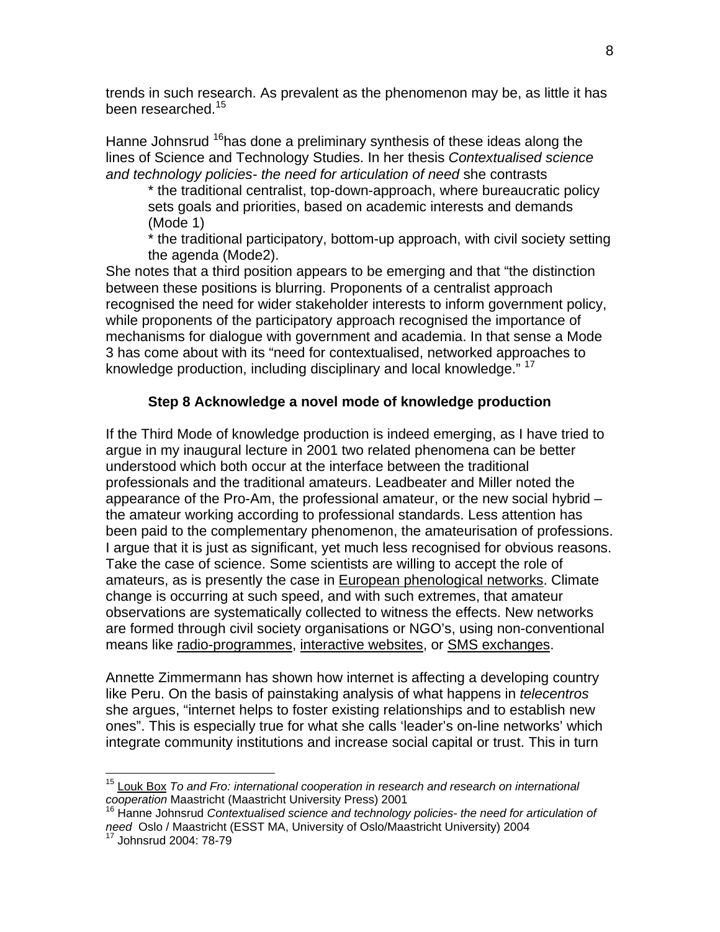trends in such research. As prevalent as the phenomenon may be, as little it has been researched.<sup>15</sup>

Hanne Johnsrud <sup>16</sup>has done a preliminary synthesis of these ideas along the lines of Science and Technology Studies. In her thesis *Contextualised science and technology policies- the need for articulation of need* she contrasts

\* the traditional centralist, top-down-approach, where bureaucratic policy sets goals and priorities, based on academic interests and demands (Mode 1)

\* the traditional participatory, bottom-up approach, with civil society setting the agenda (Mode2).

She notes that a third position appears to be emerging and that "the distinction between these positions is blurring. Proponents of a centralist approach recognised the need for wider stakeholder interests to inform government policy, while proponents of the participatory approach recognised the importance of mechanisms for dialogue with government and academia. In that sense a Mode 3 has come about with its "need for contextualised, networked approaches to knowledge production, including disciplinary and local knowledge." <sup>[17](#page-7-2)</sup>

# **Step 8 Acknowledge a novel mode of knowledge production**

If the Third Mode of knowledge production is indeed emerging, as I have tried to argue in my inaugural lecture in 2001 two related phenomena can be better understood which both occur at the interface between the traditional professionals and the traditional amateurs. Leadbeater and Miller noted the appearance of the Pro-Am, the professional amateur, or the new social hybrid – the amateur working according to professional standards. Less attention has been paid to the complementary phenomenon, the amateurisation of professions. I argue that it is just as significant, yet much less recognised for obvious reasons. Take the case of science. Some scientists are willing to accept the role of amateurs, as is presently the case in [European phenological networks](http://www.dow.wau.nl/msa/epn/index.asp). Climate change is occurring at such speed, and with such extremes, that amateur observations are systematically collected to witness the effects. New networks are formed through civil society organisations or NGO's, using non-conventional means like [radio-programmes,](http://www.vroegevogels.nl/) [interactive websites](http://www.phenology.org.uk/), or [SMS exchanges](http://www.clickatell.com/brochure/sms_industry/charity.php).

Annette Zimmermann has shown how internet is affecting a developing country like Peru. On the basis of painstaking analysis of what happens in *telecentros* she argues, "internet helps to foster existing relationships and to establish new ones". This is especially true for what she calls 'leader's on-line networks' which integrate community institutions and increase social capital or trust. This in turn

<span id="page-7-0"></span><sup>&</sup>lt;sup>15</sup> [Louk Box](http://www.fdcw.unimaas.nl/personal/WebSitesMWT/Box/toandfro.pdf) To and Fro: international cooperation in research and research on international *cooperation* Maastricht (Maastricht University Press) 2001<br><sup>16</sup> Hanne Johnsrud *Contextualised science and technology policies- the need for articulation of* 

<span id="page-7-1"></span>need Oslo / Maastricht (ESST MA, University of Oslo/Maastricht University) 2004<br><sup>17</sup> Johnsrud 2004: 78-79

<span id="page-7-2"></span>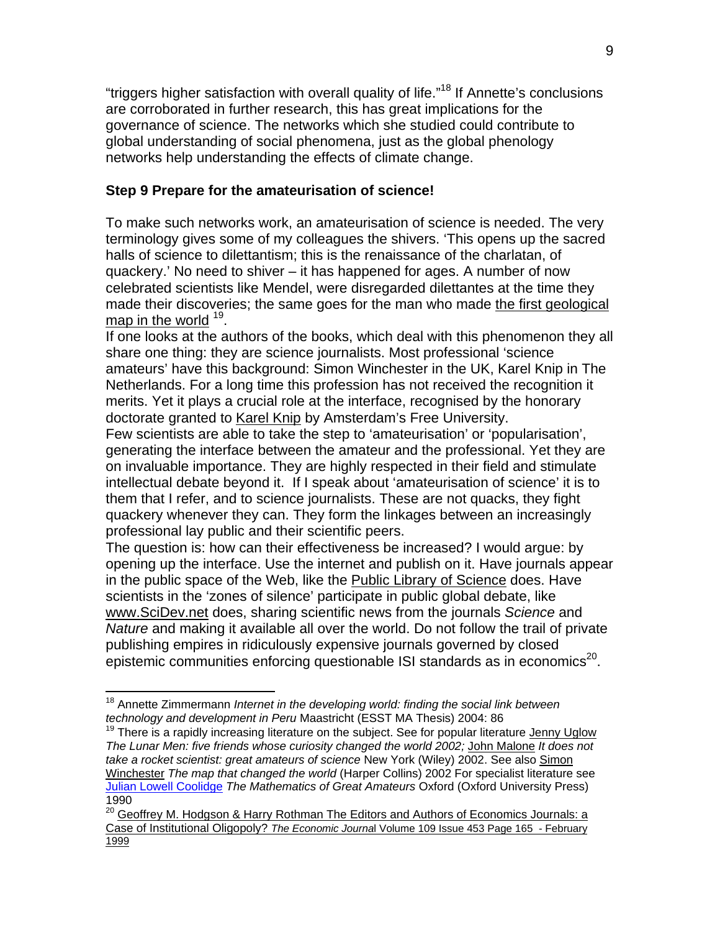"triggers higher satisfaction with overall quality of life."[18](#page-8-0) If Annette's conclusions are corroborated in further research, this has great implications for the governance of science. The networks which she studied could contribute to global understanding of social phenomena, just as the global phenology networks help understanding the effects of climate change.

# **Step 9 Prepare for the amateurisation of science!**

To make such networks work, an amateurisation of science is needed. The very terminology gives some of my colleagues the shivers. 'This opens up the sacred halls of science to dilettantism; this is the renaissance of the charlatan, of quackery.' No need to shiver – it has happened for ages. A number of now celebrated scientists like Mendel, were disregarded dilettantes at the time they made their discoveries; the same goes for the man who made [the first geological](http://www.geolsoc.org.uk/template.cfm?name=SmithMap)  [map in the world](http://www.geolsoc.org.uk/template.cfm?name=SmithMap)  $19$ .

If one looks at the authors of the books, which deal with this phenomenon they all share one thing: they are science journalists. Most professional 'science amateurs' have this background: Simon Winchester in the UK, Karel Knip in The Netherlands. For a long time this profession has not received the recognition it merits. Yet it plays a crucial role at the interface, recognised by the honorary doctorate granted to [Karel Knip](http://www.nrc.nl/W2/Columns/Knip/980919.html) by Amsterdam's Free University.

Few scientists are able to take the step to 'amateurisation' or 'popularisation', generating the interface between the amateur and the professional. Yet they are on invaluable importance. They are highly respected in their field and stimulate intellectual debate beyond it. If I speak about 'amateurisation of science' it is to them that I refer, and to science journalists. These are not quacks, they fight quackery whenever they can. They form the linkages between an increasingly professional lay public and their scientific peers.

The question is: how can their effectiveness be increased? I would argue: by opening up the interface. Use the internet and publish on it. Have journals appear in the public space of the Web, like the [Public Library of Science](http://www.plos.org/) does. Have scientists in the 'zones of silence' participate in public global debate, like [www.SciDev.net](http://www.scidev.net/) does, sharing scientific news from the journals *Science* and *Nature* and making it available all over the world. Do not follow the trail of private publishing empires in ridiculously expensive journals governed by closed epistemic communities enforcing questionable ISI standards as in economics<sup>20</sup>.

<span id="page-8-0"></span><sup>1</sup> 18 Annette Zimmermann *Internet in the developing world: finding the social link between technology and development in Peru* Maastricht (ESST MA Thesis) 2004: 86

<span id="page-8-1"></span> $19$  There is a rapidly increasing literature on the subject. See for popular literature Jenny Uglow *The Lunar Men: five friends whose curiosity changed the world 2002;* [John Malone](http://eu.wiley.com/WileyCDA/WileyTitle/productCd-047141431X.html) *It does not take a rocket scientist: great amateurs of science* New York (Wiley) 2002. See also [Simon](http://www.goodreports.net/mapwin.htm)  [Winchester](http://www.goodreports.net/mapwin.htm) *The map that changed the world* (Harper Collins) 2002 For specialist literature see [Julian Lowell Coolidge](http://www-groups.dcs.st-and.ac.uk/~history/Mathematicians/Coolidge.html) *The Mathematics of Great Amateurs* Oxford (Oxford University Press) 1990

<span id="page-8-2"></span><sup>&</sup>lt;sup>20</sup> Geoffrey M. Hodgson & Harry Rothman The Editors and Authors of Economics Journals: a Case of Institutional Oligopoly? *The Economic Journa*[l Volume 109 Issue 453 Page 165 - February](http://www.blackwell-synergy.com/links/doi/10.1111/1468-0297.00407)  [1999](http://www.blackwell-synergy.com/links/doi/10.1111/1468-0297.00407)